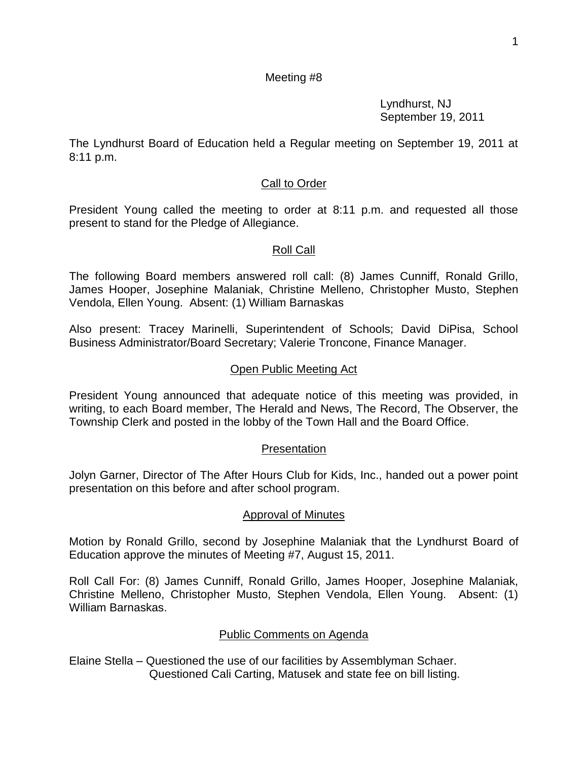### Meeting #8

Lyndhurst, NJ September 19, 2011

The Lyndhurst Board of Education held a Regular meeting on September 19, 2011 at 8:11 p.m.

## Call to Order

President Young called the meeting to order at 8:11 p.m. and requested all those present to stand for the Pledge of Allegiance.

## Roll Call

The following Board members answered roll call: (8) James Cunniff, Ronald Grillo, James Hooper, Josephine Malaniak, Christine Melleno, Christopher Musto, Stephen Vendola, Ellen Young. Absent: (1) William Barnaskas

Also present: Tracey Marinelli, Superintendent of Schools; David DiPisa, School Business Administrator/Board Secretary; Valerie Troncone, Finance Manager.

## Open Public Meeting Act

President Young announced that adequate notice of this meeting was provided, in writing, to each Board member, The Herald and News, The Record, The Observer, the Township Clerk and posted in the lobby of the Town Hall and the Board Office.

## **Presentation**

Jolyn Garner, Director of The After Hours Club for Kids, Inc., handed out a power point presentation on this before and after school program.

## Approval of Minutes

Motion by Ronald Grillo, second by Josephine Malaniak that the Lyndhurst Board of Education approve the minutes of Meeting #7, August 15, 2011.

Roll Call For: (8) James Cunniff, Ronald Grillo, James Hooper, Josephine Malaniak, Christine Melleno, Christopher Musto, Stephen Vendola, Ellen Young. Absent: (1) William Barnaskas.

## Public Comments on Agenda

Elaine Stella – Questioned the use of our facilities by Assemblyman Schaer. Questioned Cali Carting, Matusek and state fee on bill listing.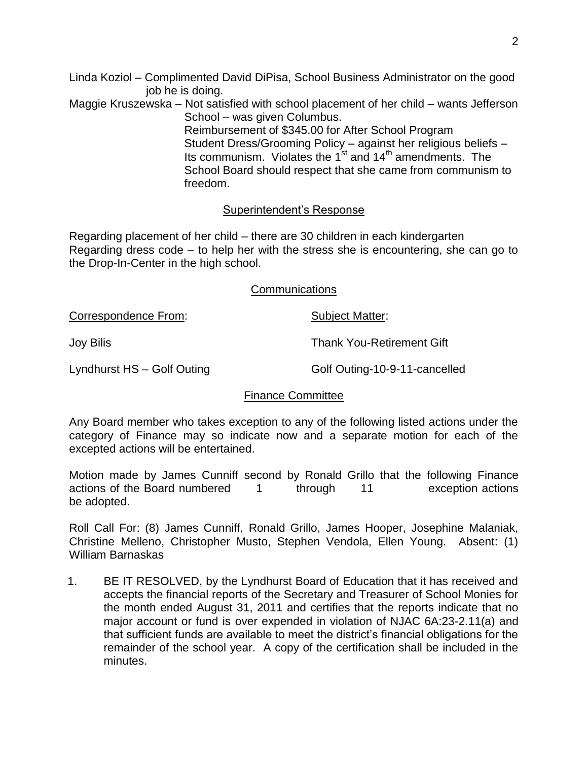- Linda Koziol Complimented David DiPisa, School Business Administrator on the good job he is doing.
- Maggie Kruszewska Not satisfied with school placement of her child wants Jefferson School – was given Columbus.

 Reimbursement of \$345.00 for After School Program Student Dress/Grooming Policy – against her religious beliefs – Its communism. Violates the  $1^{st}$  and  $14^{th}$  amendments. The School Board should respect that she came from communism to freedom.

## Superintendent's Response

Regarding placement of her child – there are 30 children in each kindergarten Regarding dress code – to help her with the stress she is encountering, she can go to the Drop-In-Center in the high school.

### Communications

Correspondence From: Subject Matter: Joy Bilis Thank You-Retirement Gift Lyndhurst HS – Golf Outing Golf Outing-10-9-11-cancelled

## Finance Committee

Any Board member who takes exception to any of the following listed actions under the category of Finance may so indicate now and a separate motion for each of the excepted actions will be entertained.

Motion made by James Cunniff second by Ronald Grillo that the following Finance actions of the Board numbered 1 through 11 exception actions be adopted.

Roll Call For: (8) James Cunniff, Ronald Grillo, James Hooper, Josephine Malaniak, Christine Melleno, Christopher Musto, Stephen Vendola, Ellen Young. Absent: (1) William Barnaskas

1. BE IT RESOLVED, by the Lyndhurst Board of Education that it has received and accepts the financial reports of the Secretary and Treasurer of School Monies for the month ended August 31, 2011 and certifies that the reports indicate that no major account or fund is over expended in violation of NJAC 6A:23-2.11(a) and that sufficient funds are available to meet the district's financial obligations for the remainder of the school year. A copy of the certification shall be included in the minutes.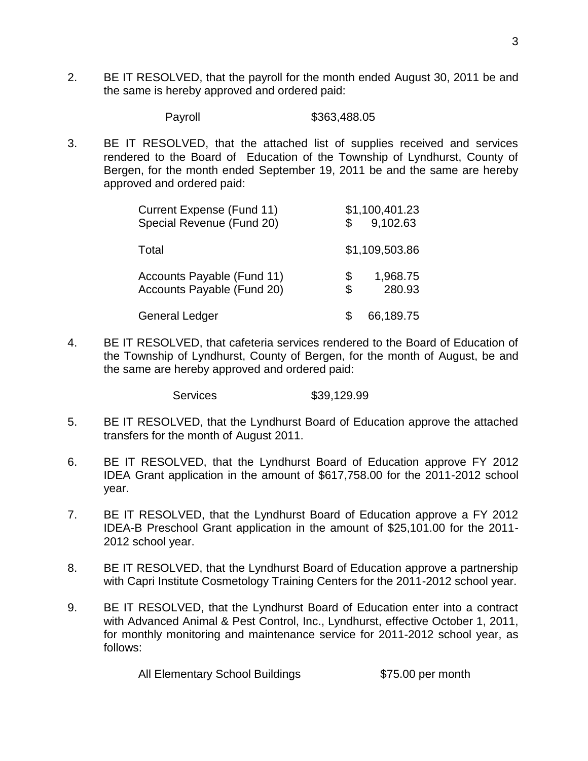2. BE IT RESOLVED, that the payroll for the month ended August 30, 2011 be and the same is hereby approved and ordered paid:

Payroll \$363,488.05

3. BE IT RESOLVED, that the attached list of supplies received and services rendered to the Board of Education of the Township of Lyndhurst, County of Bergen, for the month ended September 19, 2011 be and the same are hereby approved and ordered paid:

| <b>Current Expense (Fund 11)</b><br>Special Revenue (Fund 20) |          | \$1,100,401.23<br>9,102.63 |
|---------------------------------------------------------------|----------|----------------------------|
| Total                                                         |          | \$1,109,503.86             |
| Accounts Payable (Fund 11)<br>Accounts Payable (Fund 20)      | \$<br>\$ | 1,968.75<br>280.93         |
| <b>General Ledger</b>                                         |          | 66,189.75                  |

4. BE IT RESOLVED, that cafeteria services rendered to the Board of Education of the Township of Lyndhurst, County of Bergen, for the month of August, be and the same are hereby approved and ordered paid:

Services \$39,129.99

- 5. BE IT RESOLVED, that the Lyndhurst Board of Education approve the attached transfers for the month of August 2011.
- 6. BE IT RESOLVED, that the Lyndhurst Board of Education approve FY 2012 IDEA Grant application in the amount of \$617,758.00 for the 2011-2012 school year.
- 7. BE IT RESOLVED, that the Lyndhurst Board of Education approve a FY 2012 IDEA-B Preschool Grant application in the amount of \$25,101.00 for the 2011- 2012 school year.
- 8. BE IT RESOLVED, that the Lyndhurst Board of Education approve a partnership with Capri Institute Cosmetology Training Centers for the 2011-2012 school year.
- 9. BE IT RESOLVED, that the Lyndhurst Board of Education enter into a contract with Advanced Animal & Pest Control, Inc., Lyndhurst, effective October 1, 2011, for monthly monitoring and maintenance service for 2011-2012 school year, as follows:

All Elementary School Buildings \$75.00 per month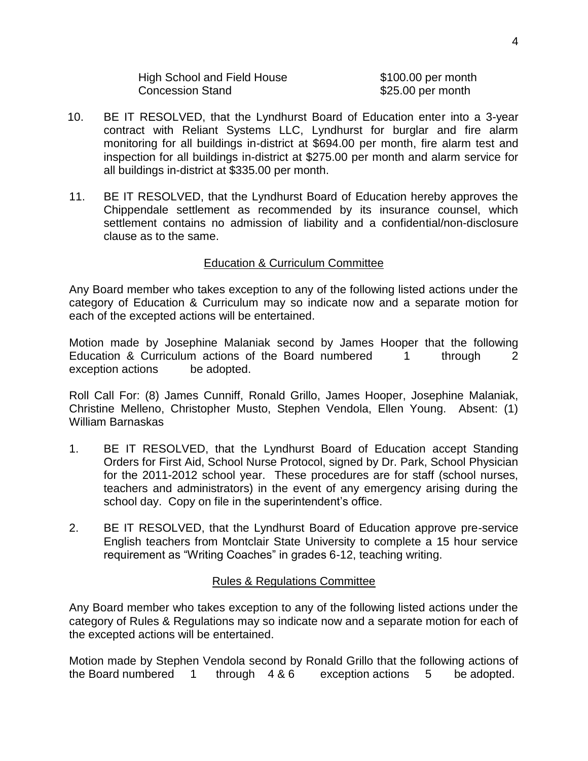| <b>High School and Field House</b> |
|------------------------------------|
| <b>Concession Stand</b>            |

 $$100.00$  per month  $$25.00$  per month

- 10. BE IT RESOLVED, that the Lyndhurst Board of Education enter into a 3-year contract with Reliant Systems LLC, Lyndhurst for burglar and fire alarm monitoring for all buildings in-district at \$694.00 per month, fire alarm test and inspection for all buildings in-district at \$275.00 per month and alarm service for all buildings in-district at \$335.00 per month.
- 11. BE IT RESOLVED, that the Lyndhurst Board of Education hereby approves the Chippendale settlement as recommended by its insurance counsel, which settlement contains no admission of liability and a confidential/non-disclosure clause as to the same.

#### Education & Curriculum Committee

Any Board member who takes exception to any of the following listed actions under the category of Education & Curriculum may so indicate now and a separate motion for each of the excepted actions will be entertained.

Motion made by Josephine Malaniak second by James Hooper that the following Education & Curriculum actions of the Board numbered 1 through 2 exception actions be adopted.

Roll Call For: (8) James Cunniff, Ronald Grillo, James Hooper, Josephine Malaniak, Christine Melleno, Christopher Musto, Stephen Vendola, Ellen Young. Absent: (1) William Barnaskas

- 1. BE IT RESOLVED, that the Lyndhurst Board of Education accept Standing Orders for First Aid, School Nurse Protocol, signed by Dr. Park, School Physician for the 2011-2012 school year. These procedures are for staff (school nurses, teachers and administrators) in the event of any emergency arising during the school day. Copy on file in the superintendent's office.
- 2. BE IT RESOLVED, that the Lyndhurst Board of Education approve pre-service English teachers from Montclair State University to complete a 15 hour service requirement as "Writing Coaches" in grades 6-12, teaching writing.

#### Rules & Regulations Committee

Any Board member who takes exception to any of the following listed actions under the category of Rules & Regulations may so indicate now and a separate motion for each of the excepted actions will be entertained.

Motion made by Stephen Vendola second by Ronald Grillo that the following actions of the Board numbered 1 through 4 & 6 exception actions 5 be adopted.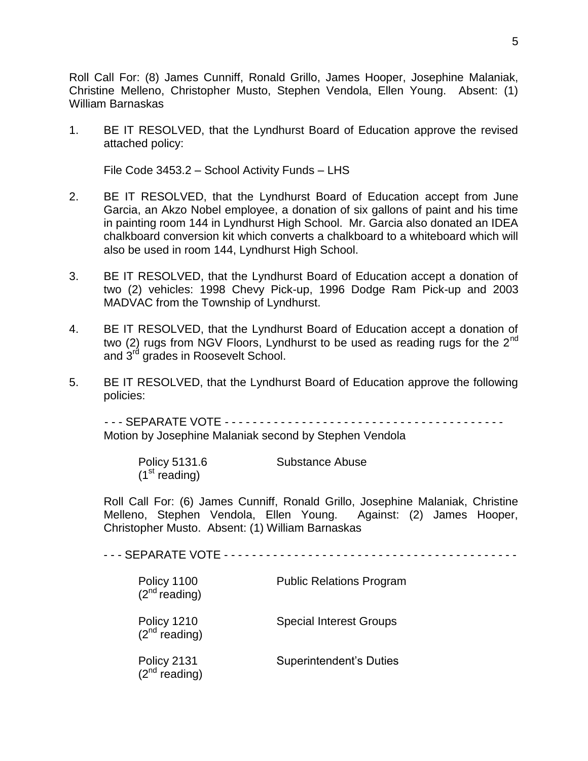Roll Call For: (8) James Cunniff, Ronald Grillo, James Hooper, Josephine Malaniak, Christine Melleno, Christopher Musto, Stephen Vendola, Ellen Young. Absent: (1) William Barnaskas

1. BE IT RESOLVED, that the Lyndhurst Board of Education approve the revised attached policy:

File Code 3453.2 – School Activity Funds – LHS

- 2. BE IT RESOLVED, that the Lyndhurst Board of Education accept from June Garcia, an Akzo Nobel employee, a donation of six gallons of paint and his time in painting room 144 in Lyndhurst High School. Mr. Garcia also donated an IDEA chalkboard conversion kit which converts a chalkboard to a whiteboard which will also be used in room 144, Lyndhurst High School.
- 3. BE IT RESOLVED, that the Lyndhurst Board of Education accept a donation of two (2) vehicles: 1998 Chevy Pick-up, 1996 Dodge Ram Pick-up and 2003 MADVAC from the Township of Lyndhurst.
- 4. BE IT RESOLVED, that the Lyndhurst Board of Education accept a donation of two (2) rugs from NGV Floors, Lyndhurst to be used as reading rugs for the  $2^{nd}$ and 3<sup>rd</sup> grades in Roosevelt School.
- 5. BE IT RESOLVED, that the Lyndhurst Board of Education approve the following policies:

 - - - SEPARATE VOTE - - - - - - - - - - - - - - - - - - - - - - - - - - - - - - - - - - - - - - - - Motion by Josephine Malaniak second by Stephen Vendola

| Policy 5131.6             | Substance Abuse |
|---------------------------|-----------------|
| (1 <sup>st</sup> reading) |                 |

Roll Call For: (6) James Cunniff, Ronald Grillo, Josephine Malaniak, Christine Melleno, Stephen Vendola, Ellen Young. Against: (2) James Hooper, Christopher Musto. Absent: (1) William Barnaskas

- - - SEPARATE VOTE - - - - - - - - - - - - - - - - - - - - - - - - - - - - - - - - - - - - - - - - - -

| Policy 1100<br>$(2nd reading)$ | <b>Public Relations Program</b> |
|--------------------------------|---------------------------------|
| Policy 1210<br>$(2nd reading)$ | <b>Special Interest Groups</b>  |
| Policy 2131 $(2^{nd}$ reading) | <b>Superintendent's Duties</b>  |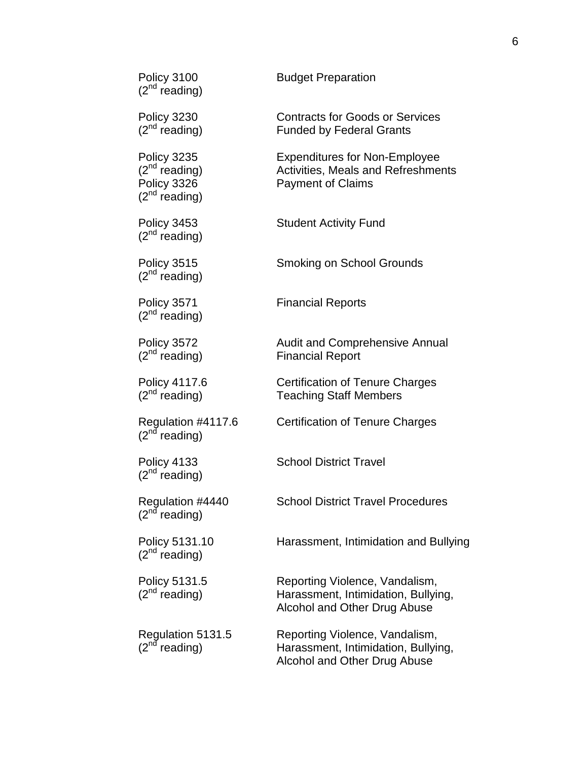| Policy 3100<br>(2 <sup>nd</sup> reading)                               | <b>Budget Preparation</b>                                                                                     |
|------------------------------------------------------------------------|---------------------------------------------------------------------------------------------------------------|
| Policy 3230<br>$(2^{nd}$ reading)                                      | <b>Contracts for Goods or Services</b><br><b>Funded by Federal Grants</b>                                     |
| Policy 3235<br>$(2^{nd}$ reading)<br>Policy 3326<br>$(2^{nd}$ reading) | <b>Expenditures for Non-Employee</b><br><b>Activities, Meals and Refreshments</b><br><b>Payment of Claims</b> |
| Policy 3453<br>$(2^{nd}$ reading)                                      | <b>Student Activity Fund</b>                                                                                  |
| Policy 3515<br>$(2^{nd}$ reading)                                      | Smoking on School Grounds                                                                                     |
| Policy 3571<br>$(2^{nd}$ reading)                                      | <b>Financial Reports</b>                                                                                      |
| Policy 3572<br>$(2^{nd}$ reading)                                      | <b>Audit and Comprehensive Annual</b><br><b>Financial Report</b>                                              |
| Policy 4117.6<br>$(2^{nd}$ reading)                                    | <b>Certification of Tenure Charges</b><br><b>Teaching Staff Members</b>                                       |
| Regulation #4117.6<br>(2 <sup>nd</sup> reading)                        | Certification of Tenure Charges                                                                               |
| Policy 4133<br>$(2^{nd}$ reading)                                      | <b>School District Travel</b>                                                                                 |
| Regulation #4440<br>(2 <sup>nd</sup> reading)                          | <b>School District Travel Procedures</b>                                                                      |
| Policy 5131.10<br>$(2^{nd}$ reading)                                   | Harassment, Intimidation and Bullying                                                                         |
| Policy 5131.5<br>$(2^{nd}$ reading)                                    | Reporting Violence, Vandalism,<br>Harassment, Intimidation, Bullying,<br>Alcohol and Other Drug Abuse         |
| Regulation 5131.5<br>(2 <sup>nd</sup> reading)                         | Reporting Violence, Vandalism,<br>Harassment, Intimidation, Bullying,<br>Alcohol and Other Drug Abuse         |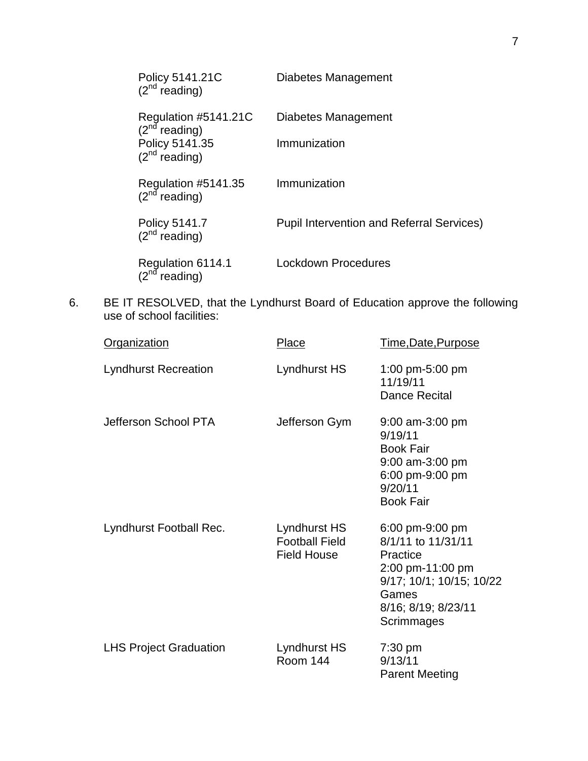| Policy 5141.21C<br>$(2^{nd}$ reading)                      | Diabetes Management                              |
|------------------------------------------------------------|--------------------------------------------------|
| Regulation #5141.21C<br>$(2n\overline{d}$ reading)         | Diabetes Management                              |
| Policy 5141.35<br>(2 <sup>nd</sup> reading)                | Immunization                                     |
| Regulation #5141.35 $(2nd$ reading)                        | Immunization                                     |
| Policy 5141.7<br>$(2^{nd}$ reading)                        | <b>Pupil Intervention and Referral Services)</b> |
| Regulation 6114.1<br>(2 <sup>nd</sup> reading)<br>reading) | Lockdown Procedures                              |

6. BE IT RESOLVED, that the Lyndhurst Board of Education approve the following use of school facilities:

| <b>Organization</b>           | Place                                                       | Time, Date, Purpose                                                                                                                             |
|-------------------------------|-------------------------------------------------------------|-------------------------------------------------------------------------------------------------------------------------------------------------|
| <b>Lyndhurst Recreation</b>   | Lyndhurst HS                                                | 1:00 pm-5:00 pm<br>11/19/11<br>Dance Recital                                                                                                    |
| Jefferson School PTA          | Jefferson Gym                                               | $9:00$ am-3:00 pm<br>9/19/11<br><b>Book Fair</b><br>9:00 am-3:00 pm<br>6:00 pm-9:00 pm<br>9/20/11<br><b>Book Fair</b>                           |
| Lyndhurst Football Rec.       | Lyndhurst HS<br><b>Football Field</b><br><b>Field House</b> | 6:00 pm-9:00 pm<br>8/1/11 to 11/31/11<br>Practice<br>2:00 pm-11:00 pm<br>9/17; 10/1; 10/15; 10/22<br>Games<br>8/16; 8/19; 8/23/11<br>Scrimmages |
| <b>LHS Project Graduation</b> | Lyndhurst HS<br><b>Room 144</b>                             | $7:30$ pm<br>9/13/11<br><b>Parent Meeting</b>                                                                                                   |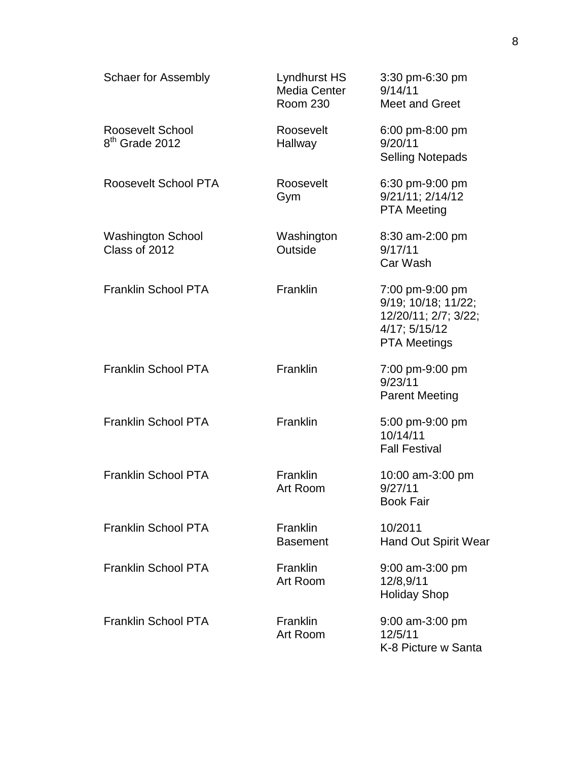| <b>Schaer for Assembly</b>                     | Lyndhurst HS<br>Media Center<br><b>Room 230</b> | 3:30 pm-6:30 pm<br>9/14/11<br><b>Meet and Greet</b>                                                    |
|------------------------------------------------|-------------------------------------------------|--------------------------------------------------------------------------------------------------------|
| Roosevelt School<br>8 <sup>th</sup> Grade 2012 | Roosevelt<br>Hallway                            | 6:00 pm-8:00 pm<br>9/20/11<br><b>Selling Notepads</b>                                                  |
| Roosevelt School PTA                           | Roosevelt<br>Gym                                | 6:30 pm-9:00 pm<br>$9/21/11$ ; $2/14/12$<br><b>PTA Meeting</b>                                         |
| <b>Washington School</b><br>Class of 2012      | Washington<br>Outside                           | 8:30 am-2:00 pm<br>9/17/11<br>Car Wash                                                                 |
| <b>Franklin School PTA</b>                     | Franklin                                        | 7:00 pm-9:00 pm<br>9/19; 10/18; 11/22;<br>12/20/11; 2/7; 3/22;<br>4/17; 5/15/12<br><b>PTA Meetings</b> |
| <b>Franklin School PTA</b>                     | Franklin                                        | 7:00 pm-9:00 pm<br>9/23/11<br><b>Parent Meeting</b>                                                    |
| <b>Franklin School PTA</b>                     | Franklin                                        | 5:00 pm-9:00 pm<br>10/14/11<br><b>Fall Festival</b>                                                    |
| <b>Franklin School PTA</b>                     | <b>Franklin</b><br>Art Room                     | 10:00 am-3:00 pm<br>9/27/11<br><b>Book Fair</b>                                                        |
| <b>Franklin School PTA</b>                     | Franklin<br><b>Basement</b>                     | 10/2011<br><b>Hand Out Spirit Wear</b>                                                                 |
| <b>Franklin School PTA</b>                     | Franklin<br>Art Room                            | 9:00 am-3:00 pm<br>12/8,9/11<br><b>Holiday Shop</b>                                                    |
| <b>Franklin School PTA</b>                     | Franklin<br>Art Room                            | $9:00$ am-3:00 pm<br>12/5/11<br>K-8 Picture w Santa                                                    |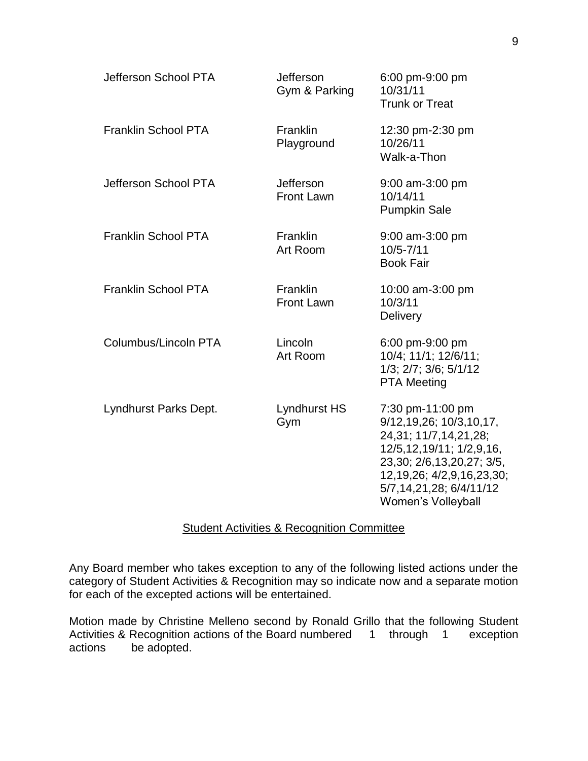| Jefferson School PTA       | Jefferson<br>Gym & Parking           | 6:00 pm-9:00 pm<br>10/31/11<br><b>Trunk or Treat</b>                                                                                                                                                                                 |
|----------------------------|--------------------------------------|--------------------------------------------------------------------------------------------------------------------------------------------------------------------------------------------------------------------------------------|
| <b>Franklin School PTA</b> | <b>Franklin</b><br>Playground        | 12:30 pm-2:30 pm<br>10/26/11<br>Walk-a-Thon                                                                                                                                                                                          |
| Jefferson School PTA       | Jefferson<br><b>Front Lawn</b>       | 9:00 am-3:00 pm<br>10/14/11<br><b>Pumpkin Sale</b>                                                                                                                                                                                   |
| <b>Franklin School PTA</b> | <b>Franklin</b><br>Art Room          | 9:00 am-3:00 pm<br>$10/5 - 7/11$<br><b>Book Fair</b>                                                                                                                                                                                 |
| <b>Franklin School PTA</b> | <b>Franklin</b><br><b>Front Lawn</b> | 10:00 am-3:00 pm<br>10/3/11<br>Delivery                                                                                                                                                                                              |
| Columbus/Lincoln PTA       | Lincoln<br>Art Room                  | 6:00 pm-9:00 pm<br>10/4; 11/1; 12/6/11;<br>1/3; 2/7; 3/6; 5/1/12<br><b>PTA Meeting</b>                                                                                                                                               |
| Lyndhurst Parks Dept.      | Lyndhurst HS<br>Gym                  | 7:30 pm-11:00 pm<br>9/12, 19, 26; 10/3, 10, 17,<br>24, 31; 11/7, 14, 21, 28;<br>12/5, 12, 19/11; 1/2, 9, 16,<br>23,30; 2/6,13,20,27; 3/5,<br>12, 19, 26; 4/2, 9, 16, 23, 30;<br>5/7,14,21,28; 6/4/11/12<br><b>Women's Volleyball</b> |

## Student Activities & Recognition Committee

Any Board member who takes exception to any of the following listed actions under the category of Student Activities & Recognition may so indicate now and a separate motion for each of the excepted actions will be entertained.

Motion made by Christine Melleno second by Ronald Grillo that the following Student Activities & Recognition actions of the Board numbered 1 through 1 exception actions be adopted.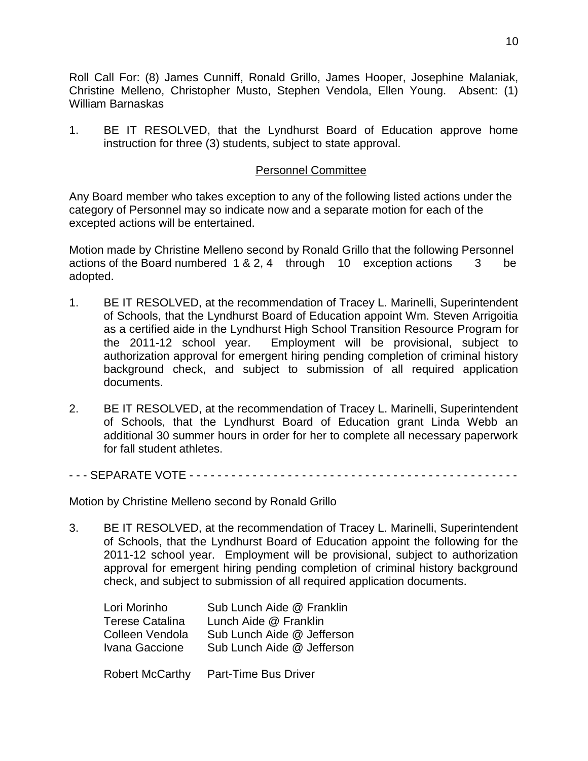Roll Call For: (8) James Cunniff, Ronald Grillo, James Hooper, Josephine Malaniak, Christine Melleno, Christopher Musto, Stephen Vendola, Ellen Young. Absent: (1) William Barnaskas

1. BE IT RESOLVED, that the Lyndhurst Board of Education approve home instruction for three (3) students, subject to state approval.

#### Personnel Committee

Any Board member who takes exception to any of the following listed actions under the category of Personnel may so indicate now and a separate motion for each of the excepted actions will be entertained.

Motion made by Christine Melleno second by Ronald Grillo that the following Personnel actions of the Board numbered 1 & 2, 4 through 10 exception actions 3 be adopted.

- 1. BE IT RESOLVED, at the recommendation of Tracey L. Marinelli, Superintendent of Schools, that the Lyndhurst Board of Education appoint Wm. Steven Arrigoitia as a certified aide in the Lyndhurst High School Transition Resource Program for the 2011-12 school year. Employment will be provisional, subject to authorization approval for emergent hiring pending completion of criminal history background check, and subject to submission of all required application documents.
- 2. BE IT RESOLVED, at the recommendation of Tracey L. Marinelli, Superintendent of Schools, that the Lyndhurst Board of Education grant Linda Webb an additional 30 summer hours in order for her to complete all necessary paperwork for fall student athletes.
- - SEPARATE VOTE - - - - - - - - - - - - - - - - - - - - - - - -

Motion by Christine Melleno second by Ronald Grillo

3. BE IT RESOLVED, at the recommendation of Tracey L. Marinelli, Superintendent of Schools, that the Lyndhurst Board of Education appoint the following for the 2011-12 school year. Employment will be provisional, subject to authorization approval for emergent hiring pending completion of criminal history background check, and subject to submission of all required application documents.

| Lori Morinho    | Sub Lunch Aide @ Franklin  |
|-----------------|----------------------------|
| Terese Catalina | Lunch Aide @ Franklin      |
| Colleen Vendola | Sub Lunch Aide @ Jefferson |
| Ivana Gaccione  | Sub Lunch Aide @ Jefferson |
|                 |                            |

Robert McCarthy Part-Time Bus Driver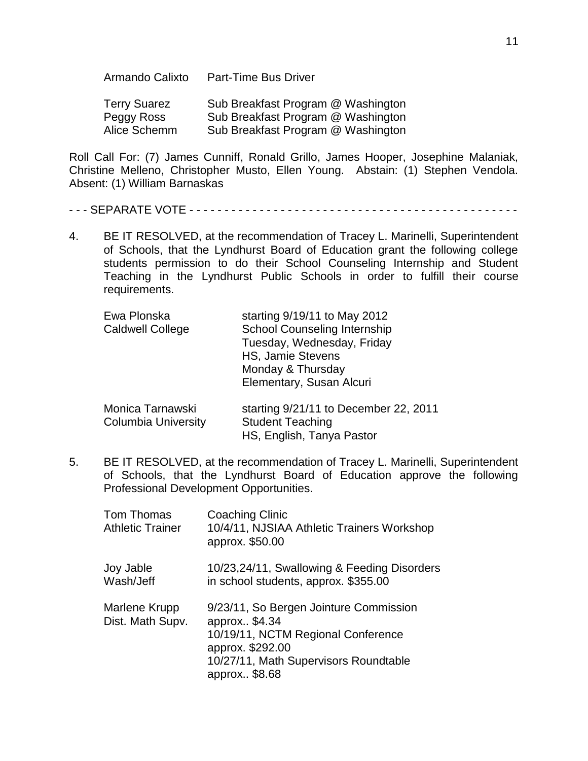Armando Calixto Part-Time Bus Driver

| Terry Suarez | Sub Breakfast Program @ Washington |
|--------------|------------------------------------|
| Peggy Ross   | Sub Breakfast Program @ Washington |
| Alice Schemm | Sub Breakfast Program @ Washington |

Roll Call For: (7) James Cunniff, Ronald Grillo, James Hooper, Josephine Malaniak, Christine Melleno, Christopher Musto, Ellen Young. Abstain: (1) Stephen Vendola. Absent: (1) William Barnaskas

- - - SEPARATE VOTE - - - - - - - - - - - - - - - - - - - - - - - - - - - - - - - - - - - - - - - - - - - - - - -

4. BE IT RESOLVED, at the recommendation of Tracey L. Marinelli, Superintendent of Schools, that the Lyndhurst Board of Education grant the following college students permission to do their School Counseling Internship and Student Teaching in the Lyndhurst Public Schools in order to fulfill their course requirements.

| Ewa Plonska<br><b>Caldwell College</b>         | starting 9/19/11 to May 2012<br><b>School Counseling Internship</b><br>Tuesday, Wednesday, Friday<br><b>HS, Jamie Stevens</b><br>Monday & Thursday<br>Elementary, Susan Alcuri |
|------------------------------------------------|--------------------------------------------------------------------------------------------------------------------------------------------------------------------------------|
| Monica Tarnawski<br><b>Columbia University</b> | starting 9/21/11 to December 22, 2011<br><b>Student Teaching</b><br>HS, English, Tanya Pastor                                                                                  |

5. BE IT RESOLVED, at the recommendation of Tracey L. Marinelli, Superintendent of Schools, that the Lyndhurst Board of Education approve the following Professional Development Opportunities.

| Tom Thomas<br><b>Athletic Trainer</b> | Coaching Clinic<br>10/4/11, NJSIAA Athletic Trainers Workshop<br>approx. \$50.00                                                                                            |
|---------------------------------------|-----------------------------------------------------------------------------------------------------------------------------------------------------------------------------|
| Joy Jable<br>Wash/Jeff                | 10/23,24/11, Swallowing & Feeding Disorders<br>in school students, approx. \$355.00                                                                                         |
| Marlene Krupp<br>Dist. Math Supv.     | 9/23/11, So Bergen Jointure Commission<br>approx \$4.34<br>10/19/11, NCTM Regional Conference<br>approx. \$292.00<br>10/27/11, Math Supervisors Roundtable<br>approx \$8.68 |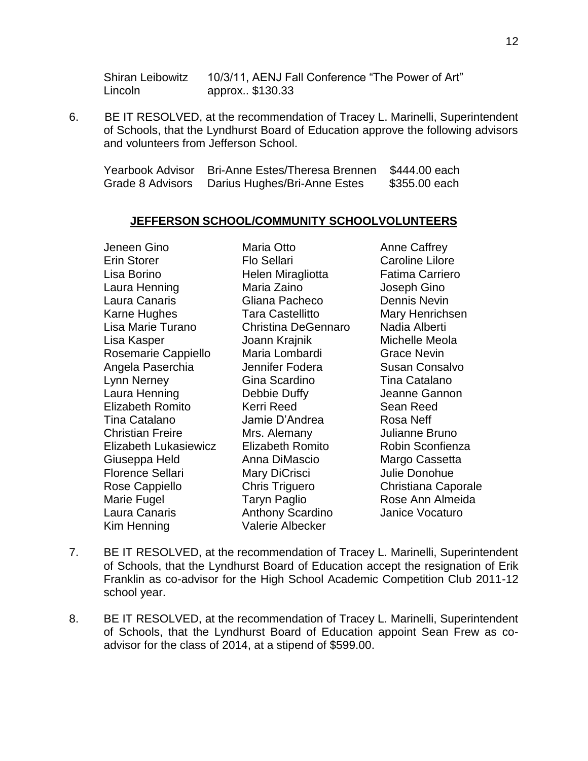Shiran Leibowitz 10/3/11, AENJ Fall Conference "The Power of Art" Lincoln approx.. \$130.33

6. BE IT RESOLVED, at the recommendation of Tracey L. Marinelli, Superintendent of Schools, that the Lyndhurst Board of Education approve the following advisors and volunteers from Jefferson School.

| Yearbook Advisor | <b>Bri-Anne Estes/Theresa Brennen</b> | \$444.00 each |
|------------------|---------------------------------------|---------------|
| Grade 8 Advisors | Darius Hughes/Bri-Anne Estes          | \$355.00 each |

#### **JEFFERSON SCHOOL/COMMUNITY SCHOOLVOLUNTEERS**

Jeneen Gino Maria Otto Anne Caffrey Erin Storer Flo Sellari Caroline Lilore Lisa Borino Helen Miragliotta Fatima Carriero Laura Henning Maria Zaino Joseph Gino Laura Canaris Gliana Pacheco Dennis Nevin Karne Hughes **Tara Castellitto** Mary Henrichsen Lisa Marie Turano Christina DeGennaro Nadia Alberti Lisa Kasper Joann Krajnik Michelle Meola Rosemarie Cappiello Maria Lombardi Grace Nevin Angela Paserchia Jennifer Fodera Susan Consalvo Lynn Nerney Gina Scardino Tina Catalano Laura Henning Debbie Duffy Jeanne Gannon Elizabeth Romito Kerri Reed Sean Reed Tina Catalano Jamie D'Andrea Rosa Neff Christian Freire **Mrs. Alemany** Julianne Bruno Elizabeth Lukasiewicz Elizabeth Romito Robin Sconfienza Giuseppa Held **Anna DiMascio** Margo Cassetta Florence Sellari Mary DiCrisci bullie Donohue Rose Cappiello **Chris Triguero** Christiana Caporale Marie Fugel **Taryn Paglio** Rose Ann Almeida Laura Canaris Anthony Scardino Janice Vocaturo Kim Henning Valerie Albecker

- 7. BE IT RESOLVED, at the recommendation of Tracey L. Marinelli, Superintendent of Schools, that the Lyndhurst Board of Education accept the resignation of Erik Franklin as co-advisor for the High School Academic Competition Club 2011-12 school year.
- 8. BE IT RESOLVED, at the recommendation of Tracey L. Marinelli, Superintendent of Schools, that the Lyndhurst Board of Education appoint Sean Frew as coadvisor for the class of 2014, at a stipend of \$599.00.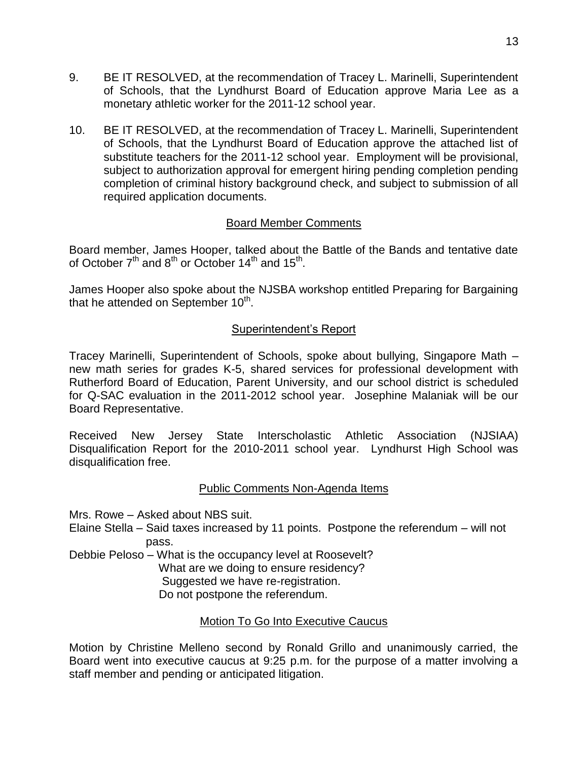- 9. BE IT RESOLVED, at the recommendation of Tracey L. Marinelli, Superintendent of Schools, that the Lyndhurst Board of Education approve Maria Lee as a monetary athletic worker for the 2011-12 school year.
- 10. BE IT RESOLVED, at the recommendation of Tracey L. Marinelli, Superintendent of Schools, that the Lyndhurst Board of Education approve the attached list of substitute teachers for the 2011-12 school year. Employment will be provisional, subject to authorization approval for emergent hiring pending completion pending completion of criminal history background check, and subject to submission of all required application documents.

## Board Member Comments

Board member, James Hooper, talked about the Battle of the Bands and tentative date of October  $7^{\text{th}}$  and  $8^{\text{th}}$  or October 14<sup>th</sup> and 15<sup>th</sup>.

James Hooper also spoke about the NJSBA workshop entitled Preparing for Bargaining that he attended on September  $10<sup>th</sup>$ .

# Superintendent's Report

Tracey Marinelli, Superintendent of Schools, spoke about bullying, Singapore Math – new math series for grades K-5, shared services for professional development with Rutherford Board of Education, Parent University, and our school district is scheduled for Q-SAC evaluation in the 2011-2012 school year. Josephine Malaniak will be our Board Representative.

Received New Jersey State Interscholastic Athletic Association (NJSIAA) Disqualification Report for the 2010-2011 school year. Lyndhurst High School was disqualification free.

## Public Comments Non-Agenda Items

Mrs. Rowe – Asked about NBS suit.

Elaine Stella – Said taxes increased by 11 points. Postpone the referendum – will not pass.

Debbie Peloso – What is the occupancy level at Roosevelt?

What are we doing to ensure residency?

Suggested we have re-registration.

Do not postpone the referendum.

# Motion To Go Into Executive Caucus

Motion by Christine Melleno second by Ronald Grillo and unanimously carried, the Board went into executive caucus at 9:25 p.m. for the purpose of a matter involving a staff member and pending or anticipated litigation.